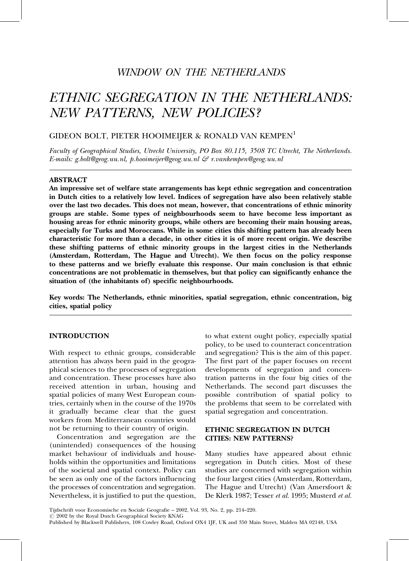## WINDOW ON THE NETHERLANDS

# ETHNIC SEGREGATION IN THE NETHERLANDS: NEW PATTERNS, NEW POLICIES?

## GIDEON BOLT, PIETER HOOIMEIJER & RONALD VAN KEMPEN<sup>1</sup>

Faculty of Geographical Studies, Utrecht University, PO Box 80.115, 3508 TC Utrecht, The Netherlands. E-mails: g.bolt@geog.uu.nl, p.hooimeijer@geog.uu.nl  $\mathcal{E}$ r.vankempen@geog.uu.nl

## ABSTRACT

An impressive set of welfare state arrangements has kept ethnic segregation and concentration in Dutch cities to a relatively low level. Indices of segregation have also been relatively stable over the last two decades. This does not mean, however, that concentrations of ethnic minority groups are stable. Some types of neighbourhoods seem to have become less important as housing areas for ethnic minority groups, while others are becoming their main housing areas, especially for Turks and Moroccans. While in some cities this shifting pattern has already been characteristic for more than a decade, in other cities it is of more recent origin. We describe these shifting patterns of ethnic minority groups in the largest cities in the Netherlands (Amsterdam, Rotterdam, The Hague and Utrecht). We then focus on the policy response to these patterns and we briefly evaluate this response. Our main conclusion is that ethnic concentrations are not problematic in themselves, but that policy can significantly enhance the situation of (the inhabitants of) specific neighbourhoods.

Key words: The Netherlands, ethnic minorities, spatial segregation, ethnic concentration, big cities, spatial policy

### INTRODUCTION

With respect to ethnic groups, considerable attention has always been paid in the geographical sciences to the processes of segregation and concentration. These processes have also received attention in urban, housing and spatial policies of many West European countries, certainly when in the course of the 1970s it gradually became clear that the guest workers from Mediterranean countries would not be returning to their country of origin.

Concentration and segregation are the (unintended) consequences of the housing market behaviour of individuals and households within the opportunities and limitations of the societal and spatial context. Policy can be seen as only one of the factors influencing the processes of concentration and segregation. Nevertheless, it is justified to put the question,

to what extent ought policy, especially spatial policy, to be used to counteract concentration and segregation? This is the aim of this paper. The first part of the paper focuses on recent developments of segregation and concentration patterns in the four big cities of the Netherlands. The second part discusses the possible contribution of spatial policy to the problems that seem to be correlated with spatial segregation and concentration.

### ETHNIC SEGREGATION IN DUTCH CITIES: NEW PATTERNS?

Many studies have appeared about ethnic segregation in Dutch cities. Most of these studies are concerned with segregation within the four largest cities (Amsterdam, Rotterdam, The Hague and Utrecht) (Van Amersfoort & De Klerk 1987; Tesser et al. 1995; Musterd et al.

Tijdschrift voor Economische en Sociale Geografie – 2002, Vol. 93, No. 2, pp. 214–220.

 $\overline{\odot}$  2002 by the Royal Dutch Geographical Society KNAG

Published by Blackwell Publishers, 108 Cowley Road, Oxford OX4 1JF, UK and 350 Main Street, Malden MA 02148, USA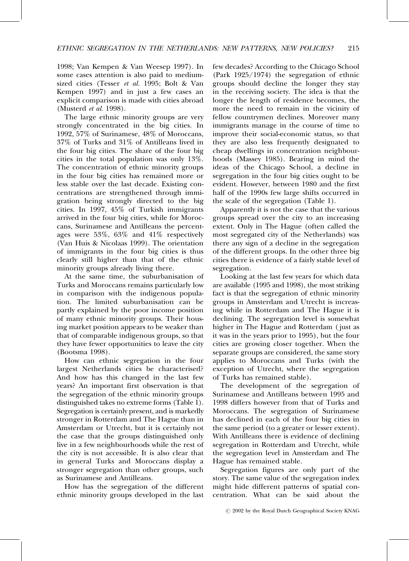1998; Van Kempen & Van Weesep 1997). In some cases attention is also paid to mediumsized cities (Tesser et al. 1995; Bolt & Van Kempen 1997) and in just a few cases an explicit comparison is made with cities abroad (Musterd et al. 1998).

The large ethnic minority groups are very strongly concentrated in the big cities. In 1992, 57% of Surinamese, 48% of Moroccans, 37% of Turks and 31% of Antilleans lived in the four big cities. The share of the four big cities in the total population was only 13%. The concentration of ethnic minority groups in the four big cities has remained more or less stable over the last decade. Existing concentrations are strengthened through immigration being strongly directed to the big cities. In 1997, 45% of Turkish immigrants arrived in the four big cities, while for Moroccans, Surinamese and Antilleans the percentages were 53%, 63% and 41% respectively (Van Huis & Nicolaas 1999). The orientation of immigrants in the four big cities is thus clearly still higher than that of the ethnic minority groups already living there.

At the same time, the suburbanisation of Turks and Moroccans remains particularly low in comparison with the indigenous population. The limited suburbanisation can be partly explained by the poor income position of many ethnic minority groups. Their housing market position appears to be weaker than that of comparable indigenous groups, so that they have fewer opportunities to leave the city (Bootsma 1998).

How can ethnic segregation in the four largest Netherlands cities be characterised? And how has this changed in the last few years? An important first observation is that the segregation of the ethnic minority groups distinguished takes no extreme forms (Table 1). Segregation is certainly present, and is markedly stronger in Rotterdam and The Hague than in Amsterdam or Utrecht, but it is certainly not the case that the groups distinguished only live in a few neighbourhoods while the rest of the city is not accessible. It is also clear that in general Turks and Moroccans display a stronger segregation than other groups, such as Surinamese and Antilleans.

How has the segregation of the different ethnic minority groups developed in the last

few decades? According to the Chicago School (Park 1925/1974) the segregation of ethnic groups should decline the longer they stay in the receiving society. The idea is that the longer the length of residence becomes, the more the need to remain in the vicinity of fellow countrymen declines. Moreover many immigrants manage in the course of time to improve their social-economic status, so that they are also less frequently designated to cheap dwellings in concentration neighbourhoods (Massey 1985). Bearing in mind the ideas of the Chicago School, a decline in segregation in the four big cities ought to be evident. However, between 1980 and the first half of the 1990s few large shifts occurred in the scale of the segregation (Table 1).

Apparently it is not the case that the various groups spread over the city to an increasing extent. Only in The Hague (often called the most segregated city of the Netherlands) was there any sign of a decline in the segregation of the different groups. In the other three big cities there is evidence of a fairly stable level of segregation.

Looking at the last few years for which data are available (1995 and 1998), the most striking fact is that the segregation of ethnic minority groups in Amsterdam and Utrecht is increasing while in Rotterdam and The Hague it is declining. The segregation level is somewhat higher in The Hague and Rotterdam ( just as it was in the years prior to 1995), but the four cities are growing closer together. When the separate groups are considered, the same story applies to Moroccans and Turks (with the exception of Utrecht, where the segregation of Turks has remained stable).

The development of the segregation of Surinamese and Antilleans between 1995 and 1998 differs however from that of Turks and Moroccans. The segregation of Surinamese has declined in each of the four big cities in the same period (to a greater or lesser extent). With Antilleans there is evidence of declining segregation in Rotterdam and Utrecht, while the segregation level in Amsterdam and The Hague has remained stable.

Segregation figures are only part of the story. The same value of the segregation index might hide different patterns of spatial concentration. What can be said about the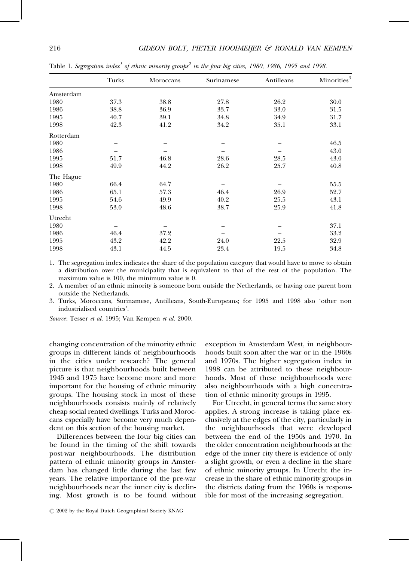|           | Turks | Moroccans | Surinamese | Antilleans | Minorities <sup>3</sup> |
|-----------|-------|-----------|------------|------------|-------------------------|
| Amsterdam |       |           |            |            |                         |
| 1980      | 37.3  | 38.8      | 27.8       | 26.2       | 30.0                    |
| 1986      | 38.8  | 36.9      | 33.7       | 33.0       | 31.5                    |
| 1995      | 40.7  | 39.1      | 34.8       | 34.9       | 31.7                    |
| 1998      | 42.3  | 41.2      | 34.2       | 35.1       | 33.1                    |
| Rotterdam |       |           |            |            |                         |
| 1980      |       |           |            |            | 46.5                    |
| 1986      |       |           |            |            | 43.0                    |
| 1995      | 51.7  | 46.8      | 28.6       | 28.5       | 43.0                    |
| 1998      | 49.9  | 44.2      | 26.2       | 25.7       | 40.8                    |
| The Hague |       |           |            |            |                         |
| 1980      | 66.4  | 64.7      |            |            | 55.5                    |
| 1986      | 65.1  | 57.3      | 46.4       | 26.9       | 52.7                    |
| 1995      | 54.6  | 49.9      | 40.2       | 25.5       | 43.1                    |
| 1998      | 53.0  | 48.6      | 38.7       | 25.9       | 41.8                    |
| Utrecht   |       |           |            |            |                         |
| 1980      |       |           |            |            | 37.1                    |
| 1986      | 46.4  | 37.2      |            |            | 33.2                    |
| 1995      | 43.2  | 42.2      | 24.0       | 22.5       | 32.9                    |
| 1998      | 43.1  | 44.5      | 23.4       | 19.5       | 34.8                    |

Table 1. Segregation index<sup>1</sup> of ethnic minority groups<sup>2</sup> in the four big cities, 1980, 1986, 1995 and 1998.

1. The segregation index indicates the share of the population category that would have to move to obtain a distribution over the municipality that is equivalent to that of the rest of the population. The maximum value is 100, the minimum value is 0.

2. A member of an ethnic minority is someone born outside the Netherlands, or having one parent born outside the Netherlands.

3. Turks, Moroccans, Surinamese, Antilleans, South-Europeans; for 1995 and 1998 also 'other non industrialised countries'.

Source: Tesser et al. 1995; Van Kempen et al. 2000.

changing concentration of the minority ethnic groups in different kinds of neighbourhoods in the cities under research? The general picture is that neighbourhoods built between 1945 and 1975 have become more and more important for the housing of ethnic minority groups. The housing stock in most of these neighbourhoods consists mainly of relatively cheap social rented dwellings. Turks and Moroccans especially have become very much dependent on this section of the housing market.

Differences between the four big cities can be found in the timing of the shift towards post-war neighbourhoods. The distribution pattern of ethnic minority groups in Amsterdam has changed little during the last few years. The relative importance of the pre-war neighbourhoods near the inner city is declining. Most growth is to be found without exception in Amsterdam West, in neighbourhoods built soon after the war or in the 1960s and 1970s. The higher segregation index in 1998 can be attributed to these neighbourhoods. Most of these neighbourhoods were also neighbourhoods with a high concentration of ethnic minority groups in 1995.

For Utrecht, in general terms the same story applies. A strong increase is taking place exclusively at the edges of the city, particularly in the neighbourhoods that were developed between the end of the 1950s and 1970. In the older concentration neighbourhoods at the edge of the inner city there is evidence of only a slight growth, or even a decline in the share of ethnic minority groups. In Utrecht the increase in the share of ethnic minority groups in the districts dating from the 1960s is responsible for most of the increasing segregation.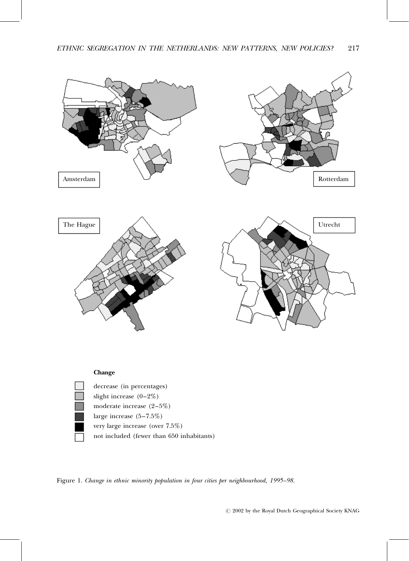

## Change

decrease (in percentages) slight increase (0–2%) moderate increase (2–5%) large increase (5–7.5%) very large increase (over 7.5%) not included (fewer than 650 inhabitants)

Figure 1. Change in ethnic minority population in four cities per neighbourhood, 1995–98.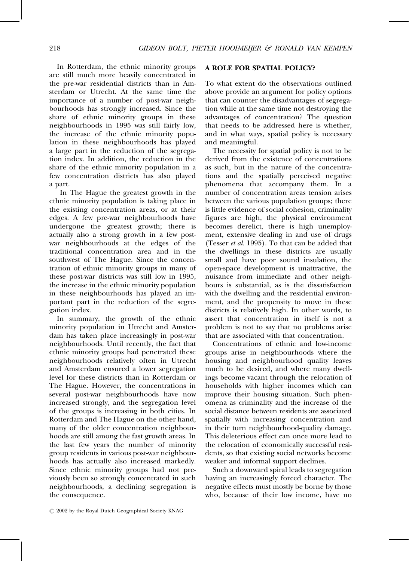In Rotterdam, the ethnic minority groups are still much more heavily concentrated in the pre-war residential districts than in Amsterdam or Utrecht. At the same time the importance of a number of post-war neighbourhoods has strongly increased. Since the share of ethnic minority groups in these neighbourhoods in 1995 was still fairly low, the increase of the ethnic minority population in these neighbourhoods has played a large part in the reduction of the segregation index. In addition, the reduction in the share of the ethnic minority population in a few concentration districts has also played a part.

In The Hague the greatest growth in the ethnic minority population is taking place in the existing concentration areas, or at their edges. A few pre-war neighbourhoods have undergone the greatest growth; there is actually also a strong growth in a few postwar neighbourhoods at the edges of the traditional concentration area and in the southwest of The Hague. Since the concentration of ethnic minority groups in many of these post-war districts was still low in 1995, the increase in the ethnic minority population in these neighbourhoods has played an important part in the reduction of the segregation index.

In summary, the growth of the ethnic minority population in Utrecht and Amsterdam has taken place increasingly in post-war neighbourhoods. Until recently, the fact that ethnic minority groups had penetrated these neighbourhoods relatively often in Utrecht and Amsterdam ensured a lower segregation level for these districts than in Rotterdam or The Hague. However, the concentrations in several post-war neighbourhoods have now increased strongly, and the segregation level of the groups is increasing in both cities. In Rotterdam and The Hague on the other hand, many of the older concentration neighbourhoods are still among the fast growth areas. In the last few years the number of minority group residents in various post-war neighbourhoods has actually also increased markedly. Since ethnic minority groups had not previously been so strongly concentrated in such neighbourhoods, a declining segregation is the consequence.

#### A ROLE FOR SPATIAL POLICY?

To what extent do the observations outlined above provide an argument for policy options that can counter the disadvantages of segregation while at the same time not destroying the advantages of concentration? The question that needs to be addressed here is whether, and in what ways, spatial policy is necessary and meaningful.

The necessity for spatial policy is not to be derived from the existence of concentrations as such, but in the nature of the concentrations and the spatially perceived negative phenomena that accompany them. In a number of concentration areas tension arises between the various population groups; there is little evidence of social cohesion, criminality figures are high, the physical environment becomes derelict, there is high unemployment, extensive dealing in and use of drugs (Tesser et al. 1995). To that can be added that the dwellings in these districts are usually small and have poor sound insulation, the open-space development is unattractive, the nuisance from immediate and other neighbours is substantial, as is the dissatisfaction with the dwelling and the residential environment, and the propensity to move in these districts is relatively high. In other words, to assert that concentration in itself is not a problem is not to say that no problems arise that are associated with that concentration.

Concentrations of ethnic and low-income groups arise in neighbourhoods where the housing and neighbourhood quality leaves much to be desired, and where many dwellings become vacant through the relocation of households with higher incomes which can improve their housing situation. Such phenomena as criminality and the increase of the social distance between residents are associated spatially with increasing concentration and in their turn neighbourhood-quality damage. This deleterious effect can once more lead to the relocation of economically successful residents, so that existing social networks become weaker and informal support declines.

Such a downward spiral leads to segregation having an increasingly forced character. The negative effects must mostly be borne by those who, because of their low income, have no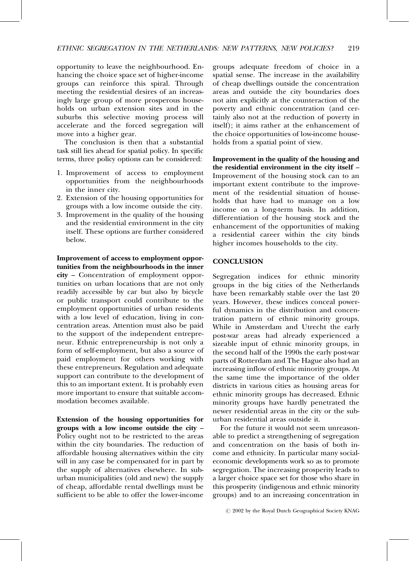opportunity to leave the neighbourhood. Enhancing the choice space set of higher-income groups can reinforce this spiral. Through meeting the residential desires of an increasingly large group of more prosperous households on urban extension sites and in the suburbs this selective moving process will accelerate and the forced segregation will move into a higher gear.

The conclusion is then that a substantial task still lies ahead for spatial policy. In specific terms, three policy options can be considered:

- 1. Improvement of access to employment opportunities from the neighbourhoods in the inner city.
- 2. Extension of the housing opportunities for groups with a low income outside the city.
- 3. Improvement in the quality of the housing and the residential environment in the city itself. These options are further considered below.

Improvement of access to employment opportunities from the neighbourhoods in the inner city – Concentration of employment opportunities on urban locations that are not only readily accessible by car but also by bicycle or public transport could contribute to the employment opportunities of urban residents with a low level of education, living in concentration areas. Attention must also be paid to the support of the independent entrepreneur. Ethnic entrepreneurship is not only a form of self-employment, but also a source of paid employment for others working with these entrepreneurs. Regulation and adequate support can contribute to the development of this to an important extent. It is probably even more important to ensure that suitable accommodation becomes available.

Extension of the housing opportunities for groups with a low income outside the city – Policy ought not to be restricted to the areas within the city boundaries. The reduction of affordable housing alternatives within the city will in any case be compensated for in part by the supply of alternatives elsewhere. In suburban municipalities (old and new) the supply of cheap, affordable rental dwellings must be sufficient to be able to offer the lower-income

groups adequate freedom of choice in a spatial sense. The increase in the availability of cheap dwellings outside the concentration areas and outside the city boundaries does not aim explicitly at the counteraction of the poverty and ethnic concentration (and certainly also not at the reduction of poverty in itself); it aims rather at the enhancement of the choice opportunities of low-income households from a spatial point of view.

Improvement in the quality of the housing and the residential environment in the city itself – Improvement of the housing stock can to an important extent contribute to the improvement of the residential situation of households that have had to manage on a low income on a long-term basis. In addition, differentiation of the housing stock and the enhancement of the opportunities of making a residential career within the city binds higher incomes households to the city.

#### **CONCLUSION**

Segregation indices for ethnic minority groups in the big cities of the Netherlands have been remarkably stable over the last 20 years. However, these indices conceal powerful dynamics in the distribution and concentration pattern of ethnic minority groups. While in Amsterdam and Utrecht the early post-war areas had already experienced a sizeable input of ethnic minority groups, in the second half of the 1990s the early post-war parts of Rotterdam and The Hague also had an increasing inflow of ethnic minority groups. At the same time the importance of the older districts in various cities as housing areas for ethnic minority groups has decreased. Ethnic minority groups have hardly penetrated the newer residential areas in the city or the suburban residential areas outside it.

For the future it would not seem unreasonable to predict a strengthening of segregation and concentration on the basis of both income and ethnicity. In particular many socialeconomic developments work so as to promote segregation. The increasing prosperity leads to a larger choice space set for those who share in this prosperity (indigenous and ethnic minority groups) and to an increasing concentration in